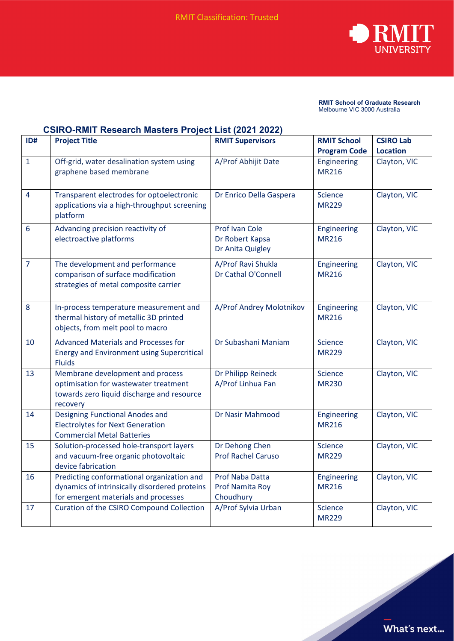

## **RMIT School of Graduate Research** Melbourne VIC 3000 Australia

## **CSIRO-RMIT Research Masters Project List (2021 2022)**

| ID#            | <b>Project Title</b>                                                                                                                | <b>RMIT Supervisors</b>                               | <b>RMIT School</b>             | <b>CSIRO Lab</b> |
|----------------|-------------------------------------------------------------------------------------------------------------------------------------|-------------------------------------------------------|--------------------------------|------------------|
|                |                                                                                                                                     |                                                       | <b>Program Code</b>            | <b>Location</b>  |
| $\mathbf{1}$   | Off-grid, water desalination system using<br>graphene based membrane                                                                | A/Prof Abhijit Date                                   | Engineering<br><b>MR216</b>    | Clayton, VIC     |
| 4              | Transparent electrodes for optoelectronic<br>applications via a high-throughput screening<br>platform                               | Dr Enrico Della Gaspera                               | <b>Science</b><br><b>MR229</b> | Clayton, VIC     |
| 6              | Advancing precision reactivity of<br>electroactive platforms                                                                        | Prof Ivan Cole<br>Dr Robert Kapsa<br>Dr Anita Quigley | Engineering<br><b>MR216</b>    | Clayton, VIC     |
| $\overline{7}$ | The development and performance<br>comparison of surface modification<br>strategies of metal composite carrier                      | A/Prof Ravi Shukla<br>Dr Cathal O'Connell             | Engineering<br><b>MR216</b>    | Clayton, VIC     |
| 8              | In-process temperature measurement and<br>thermal history of metallic 3D printed<br>objects, from melt pool to macro                | A/Prof Andrey Molotnikov                              | Engineering<br><b>MR216</b>    | Clayton, VIC     |
| 10             | <b>Advanced Materials and Processes for</b><br><b>Energy and Environment using Supercritical</b><br><b>Fluids</b>                   | Dr Subashani Maniam                                   | Science<br><b>MR229</b>        | Clayton, VIC     |
| 13             | Membrane development and process<br>optimisation for wastewater treatment<br>towards zero liquid discharge and resource<br>recovery | Dr Philipp Reineck<br>A/Prof Linhua Fan               | <b>Science</b><br><b>MR230</b> | Clayton, VIC     |
| 14             | <b>Designing Functional Anodes and</b><br><b>Electrolytes for Next Generation</b><br><b>Commercial Metal Batteries</b>              | Dr Nasir Mahmood                                      | Engineering<br><b>MR216</b>    | Clayton, VIC     |
| 15             | Solution-processed hole-transport layers<br>and vacuum-free organic photovoltaic<br>device fabrication                              | Dr Dehong Chen<br><b>Prof Rachel Caruso</b>           | <b>Science</b><br><b>MR229</b> | Clayton, VIC     |
| 16             | Predicting conformational organization and<br>dynamics of intrinsically disordered proteins<br>for emergent materials and processes | Prof Naba Datta<br>Prof Namita Roy<br>Choudhury       | Engineering<br><b>MR216</b>    | Clayton, VIC     |
| 17             | <b>Curation of the CSIRO Compound Collection</b>                                                                                    | A/Prof Sylvia Urban                                   | <b>Science</b><br><b>MR229</b> | Clayton, VIC     |

 $\frac{1}{\sqrt{2}}$ What's next...